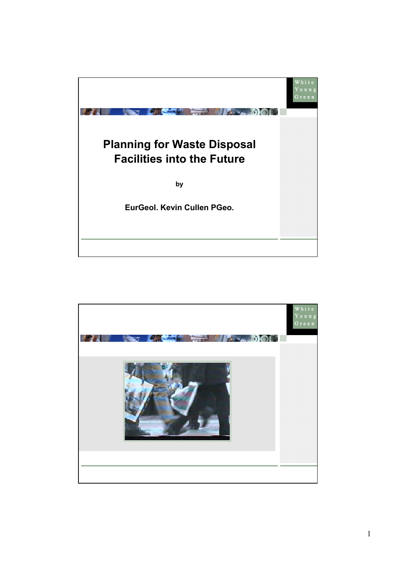

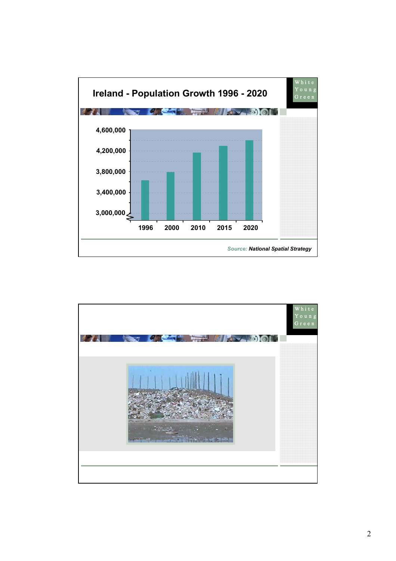

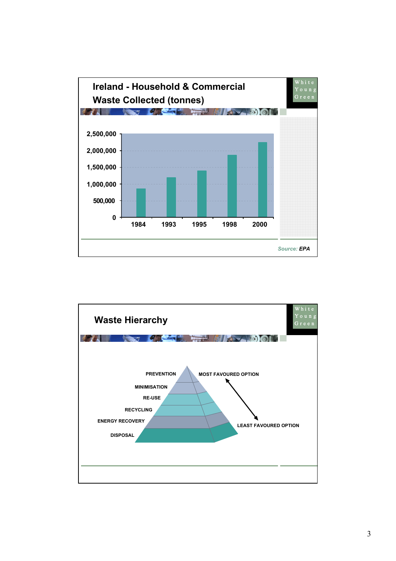

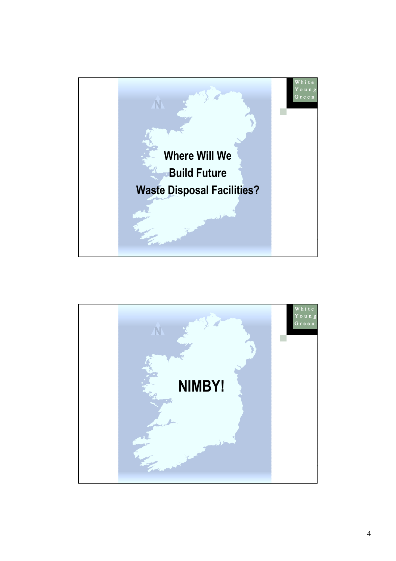

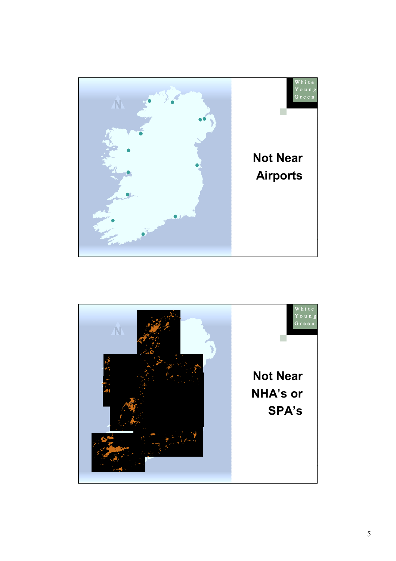

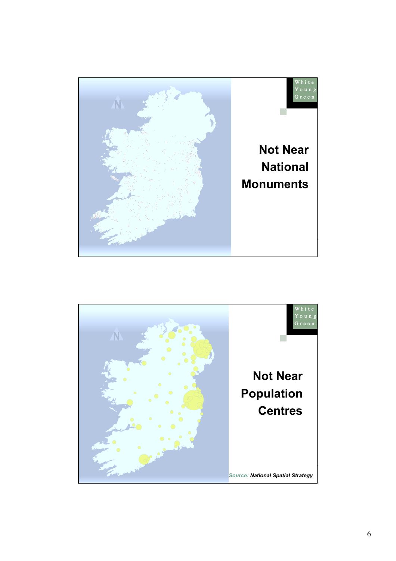

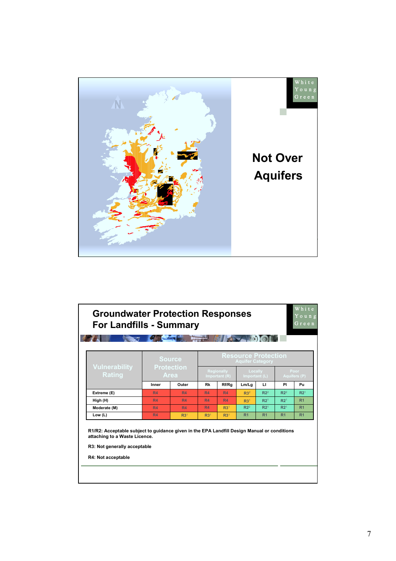

|                                       | <b>Source</b><br><b>Protection</b><br><b>Area</b> |                 | <b>Resource Protection</b><br><b>Aquifer Category</b> |                 |                          |                 |                             |                 |
|---------------------------------------|---------------------------------------------------|-----------------|-------------------------------------------------------|-----------------|--------------------------|-----------------|-----------------------------|-----------------|
| <b>Vulnerability</b><br><b>Rating</b> |                                                   |                 | <b>Regionally</b><br>Important (R)                    |                 | Locally<br>Important (L) |                 | Poor<br><b>Aquifers (P)</b> |                 |
|                                       | Inner                                             | Outer           | Rk                                                    | Rf/Rg           | Lm/Lg                    | ш               | PI                          | Pu              |
| Extreme (E)                           | <b>R4</b>                                         | <b>R4</b>       | <b>R4</b>                                             | <b>R4</b>       | R3 <sup>2</sup>          | $R2^2$          | $R2^2$                      | R2 <sup>1</sup> |
| High (H)                              | <b>R4</b>                                         | <b>R4</b>       | <b>R4</b>                                             | <b>R4</b>       | R3 <sup>1</sup>          | R2 <sup>1</sup> | R2 <sup>1</sup>             | R <sub>1</sub>  |
| Moderate (M)                          | <b>R4</b>                                         | <b>R4</b>       | <b>R4</b>                                             | R3 <sup>1</sup> | $R2^2$                   | R2 <sup>1</sup> | R2 <sup>1</sup>             | R <sub>1</sub>  |
| Low (L)                               | <b>R4</b>                                         | R3 <sup>1</sup> | R3 <sup>1</sup>                                       | R3 <sup>1</sup> | R <sub>1</sub>           | R <sub>1</sub>  | R <sub>1</sub>              | R <sub>1</sub>  |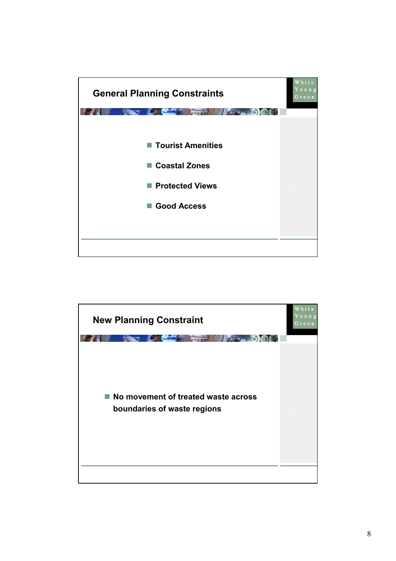

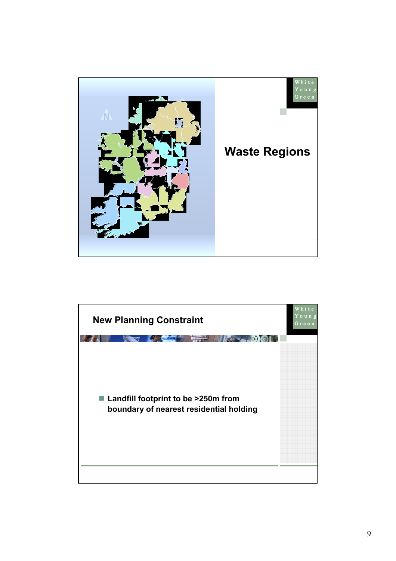

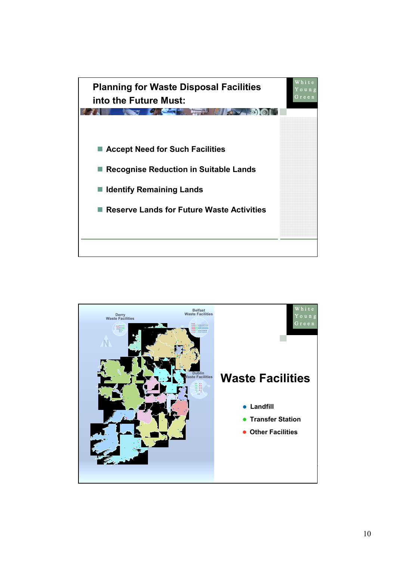